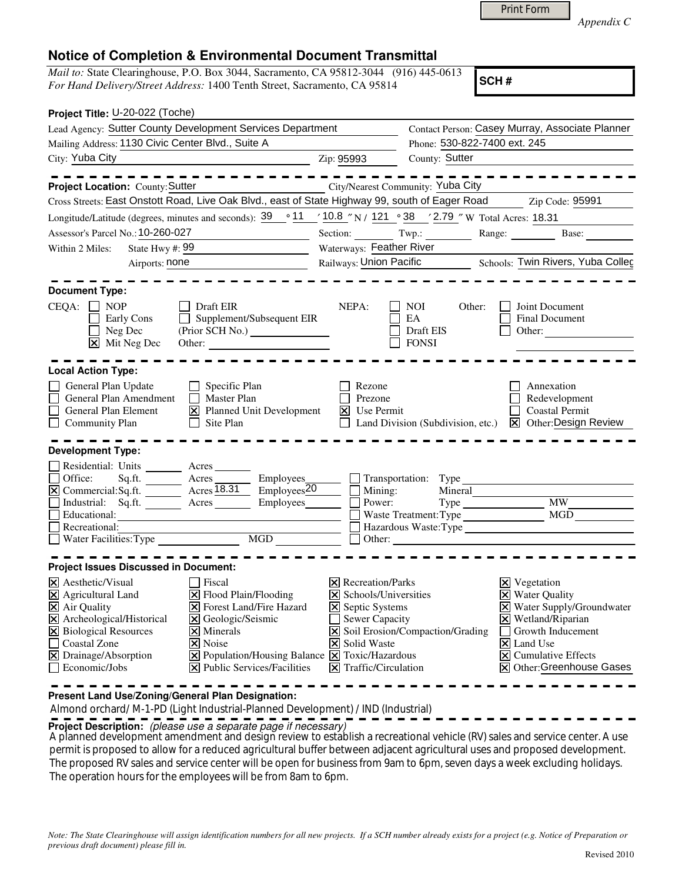*Appendix C* 

## **Notice of Completion & Environmental Document Transmittal**

*Mail to:* State Clearinghouse, P.O. Box 3044, Sacramento, CA 95812-3044 (916) 445-0613 *For Hand Delivery/Street Address:* 1400 Tenth Street, Sacramento, CA 95814

**SCH #**

| Project Title: U-20-022 (Toche)                                                                                                                                                                                                                                                                                                                                                   |                                                                                                                                               |                                                                                                                                                                           |                                                                                      |                                                                                                                                                           |
|-----------------------------------------------------------------------------------------------------------------------------------------------------------------------------------------------------------------------------------------------------------------------------------------------------------------------------------------------------------------------------------|-----------------------------------------------------------------------------------------------------------------------------------------------|---------------------------------------------------------------------------------------------------------------------------------------------------------------------------|--------------------------------------------------------------------------------------|-----------------------------------------------------------------------------------------------------------------------------------------------------------|
| Lead Agency: Sutter County Development Services Department                                                                                                                                                                                                                                                                                                                        |                                                                                                                                               |                                                                                                                                                                           |                                                                                      | Contact Person: Casey Murray, Associate Planner                                                                                                           |
| Mailing Address: 1130 Civic Center Blvd., Suite A                                                                                                                                                                                                                                                                                                                                 |                                                                                                                                               |                                                                                                                                                                           | Phone: 530-822-7400 ext. 245                                                         |                                                                                                                                                           |
| City: Yuba City                                                                                                                                                                                                                                                                                                                                                                   | Zip: 95993                                                                                                                                    | County: Sutter                                                                                                                                                            |                                                                                      |                                                                                                                                                           |
|                                                                                                                                                                                                                                                                                                                                                                                   | - - - - - - -                                                                                                                                 |                                                                                                                                                                           |                                                                                      |                                                                                                                                                           |
| Project Location: County: Sutter                                                                                                                                                                                                                                                                                                                                                  | City/Nearest Community: Yuba City                                                                                                             |                                                                                                                                                                           |                                                                                      |                                                                                                                                                           |
| Cross Streets: East Onstott Road, Live Oak Blvd., east of State Highway 99, south of Eager Road Zip Code: 95991                                                                                                                                                                                                                                                                   |                                                                                                                                               |                                                                                                                                                                           |                                                                                      |                                                                                                                                                           |
| Longitude/Latitude (degrees, minutes and seconds): $\frac{39}{9}$ <sup>o</sup> 11 $\frac{10.8}{9}$ N i 121 <sup>o</sup> 38 $\frac{12.79}{9}$ W Total Acres: 18.31                                                                                                                                                                                                                 |                                                                                                                                               |                                                                                                                                                                           |                                                                                      |                                                                                                                                                           |
| Assessor's Parcel No.: 10-260-027<br><u> 1989 - Johann Barn, mars ar breist fan de Fryske k</u>                                                                                                                                                                                                                                                                                   |                                                                                                                                               | Section: Twp.: Range: Base: Base:                                                                                                                                         |                                                                                      |                                                                                                                                                           |
| State Hwy #: 99<br>Within 2 Miles:                                                                                                                                                                                                                                                                                                                                                |                                                                                                                                               | Waterways: Feather River                                                                                                                                                  |                                                                                      |                                                                                                                                                           |
| Airports: none<br><u> 1990 - Johann Barbara, martx</u>                                                                                                                                                                                                                                                                                                                            |                                                                                                                                               | Railways: Union Pacific Schools: Twin Rivers, Yuba Colleg                                                                                                                 |                                                                                      |                                                                                                                                                           |
| <b>Document Type:</b>                                                                                                                                                                                                                                                                                                                                                             |                                                                                                                                               |                                                                                                                                                                           |                                                                                      |                                                                                                                                                           |
| $CEQA: \Box NP$<br>Draft EIR<br>Supplement/Subsequent EIR<br><b>Early Cons</b><br>Neg Dec<br>(Prior SCH No.)<br>$\overline{\mathsf{x}}$ Mit Neg Dec                                                                                                                                                                                                                               | NEPA:                                                                                                                                         | NOI<br>EA<br>Draft EIS<br><b>FONSI</b>                                                                                                                                    | Other:                                                                               | Joint Document<br><b>Final Document</b><br>Other:                                                                                                         |
| <b>Local Action Type:</b>                                                                                                                                                                                                                                                                                                                                                         |                                                                                                                                               |                                                                                                                                                                           |                                                                                      |                                                                                                                                                           |
| General Plan Update<br>Specific Plan<br>$\Box$ Master Plan<br>General Plan Amendment<br>$\Box$<br>General Plan Element<br>X Planned Unit Development<br>$\Box$ Community Plan<br>$\Box$ Site Plan                                                                                                                                                                                 |                                                                                                                                               | Annexation<br>Rezone<br>Prezone<br>Redevelopment<br>$\vert$ Use Permit<br><b>Coastal Permit</b><br>Land Division (Subdivision, etc.) $\boxtimes$ Other: Design Review     |                                                                                      |                                                                                                                                                           |
| <b>Development Type:</b>                                                                                                                                                                                                                                                                                                                                                          |                                                                                                                                               |                                                                                                                                                                           |                                                                                      |                                                                                                                                                           |
| Residential: Units ________ Acres _______<br>□ Office: Sq.ft. <u>■ Acres</u><br><u>⊠</u> Commercial:Sq.ft. ■ Acres 18.31<br>Industrial: Sq.ft. Acres Employees<br>Educational:<br>$\Box$ Recreational:<br>Necreauonal:<br>Water Facilities:Type MGD MGD                                                                                                                           | Employees_<br>$Employes\overline{20}$<br>∐<br>ப                                                                                               | $\Box$ Transportation: Type<br>Mining:<br>Power:<br>Hazardous Waste:Type                                                                                                  |                                                                                      | MW                                                                                                                                                        |
| <b>Project Issues Discussed in Document:</b>                                                                                                                                                                                                                                                                                                                                      |                                                                                                                                               |                                                                                                                                                                           |                                                                                      |                                                                                                                                                           |
| $\times$ Aesthetic/Visual<br>Fiscal<br>X Agricultural Land<br>X Flood Plain/Flooding<br><b>X</b> Forest Land/Fire Hazard<br>X Air Quality<br>X Archeological/Historical<br>X Geologic/Seismic<br>X Biological Resources<br>$\times$ Minerals<br>Coastal Zone<br>$\vert$ X Noise<br>X Drainage/Absorption<br>Economic/Jobs<br>$ \mathbf{\overline{X}} $ Public Services/Facilities | <b>X</b> Septic Systems<br>$ \mathsf{X} $ Solid Waste<br>$\boxed{\mathsf{X}}$ Population/Housing Balance $\boxed{\mathsf{X}}$ Toxic/Hazardous | $\boxtimes$ Recreation/Parks<br>$\boxtimes$ Schools/Universities<br>$\Box$ Sewer Capacity<br>X Soil Erosion/Compaction/Grading<br>$ \mathbf{\nabla} $ Traffic/Circulation | $\boxtimes$ Vegetation<br><b>X</b> Water Quality<br>$\overline{\mathsf{x}}$ Land Use | X Water Supply/Groundwater<br>$\times$ Wetland/Riparian<br>Growth Inducement<br>$ \overline{\mathsf{x}} $ Cumulative Effects<br>X Other: Greenhouse Gases |

**Present Land Use/Zoning/General Plan Designation:**

Almond orchard/ M-1-PD (Light Industrial-Planned Development) / IND (Industrial)

**Project Description:** (please use a separate page if necessary)

A planned development amendment and design review to establish a recreational vehicle (RV) sales and service center. A use permit is proposed to allow for a reduced agricultural buffer between adjacent agricultural uses and proposed development. The proposed RV sales and service center will be open for business from 9am to 6pm, seven days a week excluding holidays. The operation hours for the employees will be from 8am to 6pm.